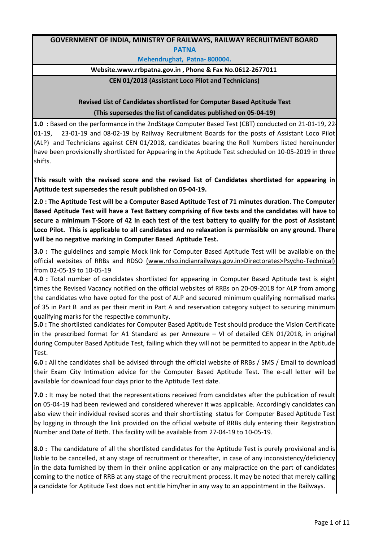## **GOVERNMENT OF INDIA, MINISTRY OF RAILWAYS, RAILWAY RECRUITMENT BOARD PATNA**

**Mehendrughat, Patna- 800004.** 

## **Website.www.rrbpatna.gov.in , Phone & Fax No.0612-2677011**

**CEN 01/2018 (Assistant Loco Pilot and Technicians)**

**(This supersedes the list of candidates published on 05-04-19) Revised List of Candidates shortlisted for Computer Based Aptitude Test**

**1.0 :** Based on the performance in the 2ndStage Computer Based Test (CBT) conducted on 21-01-19, 22- 01-19, 23-01-19 and 08-02-19 by Railway Recruitment Boards for the posts of Assistant Loco Pilot (ALP) and Technicians against CEN 01/2018, candidates bearing the Roll Numbers listed hereinunder have been provisionally shortlisted for Appearing in the Aptitude Test scheduled on 10-05-2019 in three shifts.

**This result with the revised score and the revised list of Candidates shortlisted for appearing in Aptitude test supersedes the result published on 05-04-19.**

2.0 : The Aptitude Test will be a Computer Based Aptitude Test of 71 minutes duration. The Computer Based Aptitude Test will have a Test Battery comprising of five tests and the candidates will have to secure a minimum T-Score of 42 in each test of the test battery to qualify for the post of Assistant **Loco Pilot. This is applicable to all candidates and no relaxation is permissible on any ground. There will be no negative marking in Computer Based Aptitude Test.**

**3.0 :** The guidelines and sample Mock link for Computer Based Aptitude Test will be available on the official websites of RRBs and RDSO (www.rdso.indianrailways.gov.in>Directorates>Psycho-Technical) from 02-05-19 to 10-05-19

**4.0 :** Total number of candidates shortlisted for appearing in Computer Based Aptitude test is eight times the Revised Vacancy notified on the official websites of RRBs on 20-09-2018 for ALP from among the candidates who have opted for the post of ALP and secured minimum qualifying normalised marks of 35 in Part B and as per their merit in Part A and reservation category subject to securing minimum qualifying marks for the respective community.

**5.0 :** The shortlisted candidates for Computer Based Aptitude Test should produce the Vision Certificate in the prescribed format for A1 Standard as per Annexure – VI of detailed CEN 01/2018, in original during Computer Based Aptitude Test, failing which they will not be permitted to appear in the Aptitude Test.

**6.0 :** All the candidates shall be advised through the official website of RRBs / SMS / Email to download their Exam City Intimation advice for the Computer Based Aptitude Test. The e-call letter will be available for download four days prior to the Aptitude Test date.

**7.0 :** It may be noted that the representations received from candidates after the publication of result on 05-04-19 had been reviewed and considered wherever it was applicable. Accordingly candidates can also view their individual revised scores and their shortlisting status for Computer Based Aptitude Test by logging in through the link provided on the official website of RRBs duly entering their Registration Number and Date of Birth. This facility will be available from 27-04-19 to 10-05-19.

**8.0 :** The candidature of all the shortlisted candidates for the Aptitude Test is purely provisional and is liable to be cancelled, at any stage of recruitment or thereafter, in case of any inconsistency/deficiency in the data furnished by them in their online application or any malpractice on the part of candidates coming to the notice of RRB at any stage of the recruitment process. It may be noted that merely calling a candidate for Aptitude Test does not entitle him/her in any way to an appointment in the Railways.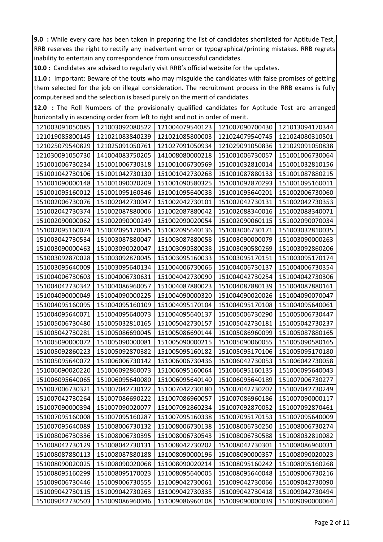**9.0 :** While every care has been taken in preparing the list of candidates shortlisted for Aptitude Test, RRB reserves the right to rectify any inadvertent error or typographical/printing mistakes. RRB regrets inability to entertain any correspondence from unsuccessful candidates.

**10.0 :** Candidates are advised to regularly visit RRB's official website for the updates.

**11.0 :** Important: Beware of the touts who may misguide the candidates with false promises of getting them selected for the job on illegal consideration. The recruitment process in the RRB exams is fully computerised and the selection is based purely on the merit of candidates.

**12.0 :** The Roll Numbers of the provisionally qualified candidates for Aptitude Test are arranged horizontally in ascending order from left to right and not in order of merit.

| 121003091050085 | 121003092080522 | 121004079540123 | 121007090700430 | 121013094170344 |
|-----------------|-----------------|-----------------|-----------------|-----------------|
| 121019085800145 | 121021083840239 | 121021085800003 | 121024079540745 | 121024080310501 |
| 121025079540829 | 121025091050761 | 121027091050934 | 121029091050836 | 121029091050838 |
| 121030091050730 | 141004083750205 | 141008080000218 | 151001006730057 | 151001006730064 |
| 151001006730234 | 151001006730318 | 151001006730569 | 151001032810014 | 151001032810156 |
| 151001042730106 | 151001042730130 | 151001042730268 | 151001087880133 | 151001087880215 |
| 151001090000148 | 151001090020209 | 151001090580325 | 151001092870293 | 151001095160011 |
| 151001095160012 | 151001095160346 | 151001095640038 | 151001095640201 | 151002006730060 |
| 151002006730076 | 151002042730047 | 151002042730101 | 151002042730131 | 151002042730353 |
| 151002042730374 | 151002087880006 | 151002087880042 | 151002088340016 | 151002088340071 |
| 151002090000062 | 151002090000249 | 151002090020054 | 151002090060115 | 151002090070034 |
| 151002095160074 | 151002095170045 | 151002095640136 | 151003006730171 | 151003032810035 |
| 151003042730534 | 151003087880047 | 151003087880058 | 151003090000079 | 151003090000263 |
| 151003090000463 | 151003090020047 | 151003090580038 | 151003090580269 | 151003092860206 |
| 151003092870028 | 151003092870045 | 151003095160033 | 151003095170151 | 151003095170174 |
| 151003095640009 | 151003095640134 | 151004006730066 | 151004006730137 | 151004006730354 |
| 151004006730603 | 151004006730631 | 151004042730090 | 151004042730254 | 151004042730306 |
| 151004042730342 | 151004086960057 | 151004087880023 | 151004087880139 | 151004087880161 |
| 151004090000049 | 151004090000225 | 151004090000320 | 151004090020026 | 151004090070047 |
| 151004095160095 | 151004095160109 | 151004095170104 | 151004095170108 | 151004095640061 |
| 151004095640071 | 151004095640073 | 151004095640137 | 151005006730290 | 151005006730447 |
| 151005006730480 | 151005032810165 | 151005042730157 | 151005042730181 | 151005042730237 |
| 151005042730281 | 151005086690045 | 151005086690144 | 151005086960099 | 151005087880165 |
| 151005090000072 | 151005090000081 | 151005090000215 | 151005090060055 | 151005090580165 |
| 151005092860223 | 151005092870382 | 151005095160182 | 151005095170106 | 151005095170180 |
| 151005095640072 | 151006006730142 | 151006006730436 | 151006042730053 | 151006042730058 |
| 151006090020220 | 151006092860073 | 151006095160064 | 151006095160135 | 151006095640043 |
| 151006095640065 | 151006095640080 | 151006095640140 | 151006095640189 | 151007006730277 |
| 151007006730321 | 151007042730122 | 151007042730180 | 151007042730207 | 151007042730249 |
| 151007042730264 | 151007086690222 | 151007086960057 | 151007086960186 | 151007090000117 |
| 151007090000394 | 151007090020077 | 151007092860234 | 151007092870052 | 151007092870461 |
| 151007095160008 | 151007095160287 | 151007095160338 | 151007095170153 | 151007095640009 |
| 151007095640089 | 151008006730132 | 151008006730138 | 151008006730250 | 151008006730274 |
| 151008006730336 | 151008006730395 | 151008006730543 | 151008006730588 | 151008032810082 |
| 151008042730129 | 151008042730131 | 151008042730202 | 151008042730301 | 151008086960031 |
| 151008087880113 | 151008087880188 | 151008090000196 | 151008090000357 | 151008090020023 |
| 151008090020025 | 151008090020068 | 151008090020214 | 151008095160242 | 151008095160268 |
| 151008095160299 | 151008095170023 | 151008095640005 | 151008095640048 | 151009006730216 |
| 151009006730446 | 151009006730555 | 151009042730061 | 151009042730066 | 151009042730090 |
| 151009042730115 | 151009042730263 | 151009042730335 | 151009042730418 | 151009042730494 |
| 151009042730503 | 151009086960046 | 151009086960108 | 151009090000039 | 151009090000064 |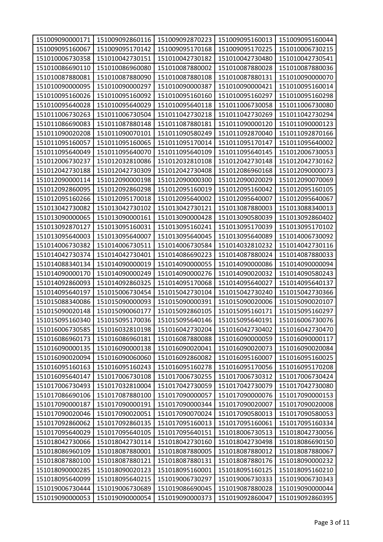| 151009090000171 | 151009092860116 | 151009092870223 | 151009095160013 | 151009095160044 |
|-----------------|-----------------|-----------------|-----------------|-----------------|
| 151009095160067 | 151009095170142 | 151009095170168 | 151009095170225 | 151010006730215 |
| 151010006730358 | 151010042730151 | 151010042730182 | 151010042730480 | 151010042730541 |
| 151010086690110 | 151010086960080 | 151010087880002 | 151010087880028 | 151010087880036 |
| 151010087880081 | 151010087880090 | 151010087880108 | 151010087880131 | 151010090000070 |
| 151010090000095 | 151010090000297 | 151010090000387 | 151010090000421 | 151010095160014 |
| 151010095160026 | 151010095160092 | 151010095160160 | 151010095160297 | 151010095160298 |
| 151010095640028 | 151010095640029 | 151010095640118 | 151011006730058 | 151011006730080 |
| 151011006730263 | 151011006730504 | 151011042730218 | 151011042730269 | 151011042730294 |
| 151011086690083 | 151011087880148 | 151011087880181 | 151011090000120 | 151011090000123 |
| 151011090020208 | 151011090070101 | 151011090580249 | 151011092870040 | 151011092870166 |
| 151011095160057 | 151011095160065 | 151011095170014 | 151011095170147 | 151011095640002 |
| 151011095640049 | 151011095640070 | 151011095640109 | 151011095640145 | 151012006730053 |
| 151012006730237 | 151012032810086 | 151012032810108 | 151012042730148 | 151012042730162 |
| 151012042730188 | 151012042730309 | 151012042730408 | 151012086960168 | 151012090000073 |
| 151012090000114 | 151012090000198 | 151012090000300 | 151012090020029 | 151012090070069 |
| 151012092860095 | 151012092860298 | 151012095160019 | 151012095160042 | 151012095160105 |
| 151012095160266 | 151012095170018 | 151012095640002 | 151012095640007 | 151012095640067 |
| 151013042730082 | 151013042730102 | 151013042730121 | 151013087880003 | 151013088340013 |
| 151013090000065 | 151013090000161 | 151013090000428 | 151013090580039 | 151013092860402 |
| 151013092870127 | 151013095160031 | 151013095160241 | 151013095170039 | 151013095170102 |
| 151013095640003 | 151013095640007 | 151013095640045 | 151013095640089 | 151014006730092 |
| 151014006730382 | 151014006730511 | 151014006730584 | 151014032810232 | 151014042730116 |
| 151014042730374 | 151014042730401 | 151014086690223 | 151014087880024 | 151014087880033 |
| 151014088340134 | 151014090000019 | 151014090000055 | 151014090000086 | 151014090000094 |
| 151014090000170 | 151014090000249 | 151014090000276 | 151014090020032 | 151014090580243 |
| 151014092860093 | 151014092860325 | 151014095170068 | 151014095640027 | 151014095640137 |
| 151014095640197 | 151015006730454 | 151015042730104 | 151015042730240 | 151015042730366 |
| 151015088340086 | 151015090000093 | 151015090000391 | 151015090020006 | 151015090020107 |
| 151015090020148 | 151015090060177 | 151015092860105 | 151015095160171 | 151015095160297 |
| 151015095160340 | 151015095170036 | 151015095640146 | 151015095640191 | 151016006730076 |
| 151016006730585 | 151016032810198 | 151016042730204 | 151016042730402 | 151016042730470 |
| 151016086960173 | 151016086960181 | 151016087880088 | 151016090000059 | 151016090000117 |
| 151016090000135 | 151016090000138 | 151016090020041 | 151016090020073 | 151016090020084 |
| 151016090020094 | 151016090060060 | 151016092860082 | 151016095160007 | 151016095160025 |
| 151016095160163 | 151016095160243 | 151016095160278 | 151016095170056 | 151016095170208 |
| 151016095640147 | 151017006730108 | 151017006730255 | 151017006730312 | 151017006730424 |
| 151017006730493 | 151017032810004 | 151017042730059 | 151017042730079 | 151017042730080 |
| 151017086690106 | 151017087880100 | 151017090000057 | 151017090000076 | 151017090000153 |
| 151017090000187 | 151017090000191 | 151017090000344 | 151017090020007 | 151017090020008 |
| 151017090020046 | 151017090020051 | 151017090070024 | 151017090580013 | 151017090580053 |
| 151017092860062 | 151017092860135 | 151017095160013 | 151017095160061 | 151017095160334 |
| 151017095640029 | 151017095640105 | 151017095640151 | 151018006730513 | 151018042730056 |
| 151018042730066 | 151018042730114 | 151018042730160 | 151018042730498 | 151018086690150 |
| 151018086960109 | 151018087880001 | 151018087880005 | 151018087880012 | 151018087880067 |
| 151018087880100 | 151018087880121 | 151018087880131 | 151018087880176 | 151018090000232 |
| 151018090000285 | 151018090020123 | 151018095160001 | 151018095160125 | 151018095160210 |
| 151018095640099 | 151018095640215 | 151019006730297 | 151019006730333 | 151019006730343 |
| 151019006730444 | 151019006730689 | 151019086690045 | 151019087880028 | 151019090000044 |
| 151019090000053 | 151019090000054 | 151019090000373 | 151019092860047 | 151019092860395 |
|                 |                 |                 |                 |                 |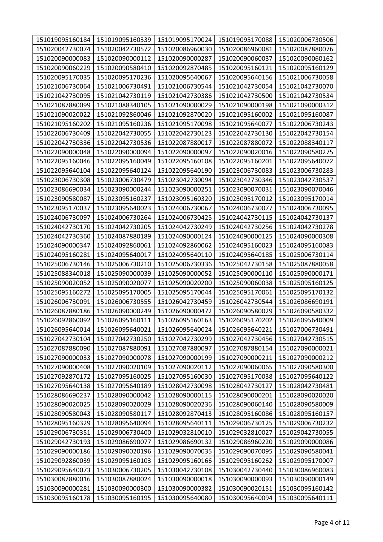| 151019095160184 | 151019095160339 | 151019095170024 | 151019095170088 | 151020006730506 |
|-----------------|-----------------|-----------------|-----------------|-----------------|
| 151020042730074 | 151020042730572 | 151020086960030 | 151020086960081 | 151020087880076 |
| 151020090000083 | 151020090000112 | 151020090000287 | 151020090060037 | 151020090060162 |
| 151020090060229 | 151020090580410 | 151020092870485 | 151020095160121 | 151020095160129 |
| 151020095170035 | 151020095170236 | 151020095640067 | 151020095640156 | 151021006730058 |
| 151021006730064 | 151021006730491 | 151021006730544 | 151021042730054 | 151021042730070 |
| 151021042730095 | 151021042730119 | 151021042730386 | 151021042730500 | 151021042730534 |
| 151021087880099 | 151021088340105 | 151021090000029 | 151021090000198 | 151021090000312 |
| 151021090020022 | 151021092860046 | 151021092870020 | 151021095160002 | 151021095160087 |
| 151021095160202 | 151021095160236 | 151021095170098 | 151021095640077 | 151022006730243 |
| 151022006730409 | 151022042730055 | 151022042730123 | 151022042730130 | 151022042730154 |
| 151022042730336 | 151022042730536 | 151022087880017 | 151022087880072 | 151022088340117 |
| 151022090000048 | 151022090000094 | 151022090000097 | 151022090020016 | 151022090580275 |
| 151022095160046 | 151022095160049 | 151022095160108 | 151022095160201 | 151022095640072 |
| 151022095640104 | 151022095640124 | 151022095640190 | 151023006730083 | 151023006730283 |
| 151023006730308 | 151023006730479 | 151023042730094 | 151023042730346 | 151023042730537 |
| 151023086690034 | 151023090000244 | 151023090000251 | 151023090070031 | 151023090070046 |
| 151023090580087 | 151023095160237 | 151023095160320 | 151023095170012 | 151023095170014 |
| 151023095170037 | 151023095640023 | 151024006730067 | 151024006730077 | 151024006730095 |
| 151024006730097 | 151024006730264 | 151024006730425 | 151024042730115 | 151024042730137 |
| 151024042730170 | 151024042730205 | 151024042730249 | 151024042730256 | 151024042730278 |
| 151024042730360 | 151024087880189 | 151024090000124 | 151024090000125 | 151024090000308 |
| 151024090000347 | 151024092860061 | 151024092860062 | 151024095160023 | 151024095160083 |
| 151024095160281 | 151024095640017 | 151024095640110 | 151024095640185 | 151025006730114 |
| 151025006730146 | 151025006730210 | 151025006730336 | 151025042730158 | 151025087880058 |
| 151025088340018 | 151025090000039 | 151025090000052 | 151025090000110 | 151025090000171 |
| 151025090020052 | 151025090020077 | 151025090020200 | 151025090060038 | 151025095160125 |
| 151025095160272 | 151025095170005 | 151025095170044 | 151025095170061 | 151025095170132 |
| 151026006730091 | 151026006730555 | 151026042730459 | 151026042730544 | 151026086690191 |
| 151026087880186 | 151026090000249 | 151026090000472 | 151026090580029 | 151026090580332 |
| 151026092860092 | 151026095160111 | 151026095160163 | 151026095170202 | 151026095640009 |
| 151026095640014 | 151026095640021 | 151026095640024 | 151026095640221 | 151027006730491 |
| 151027042730104 | 151027042730250 | 151027042730299 | 151027042730456 | 151027042730515 |
| 151027087880090 | 151027087880091 | 151027087880097 | 151027087880154 | 151027090000021 |
| 151027090000033 | 151027090000078 | 151027090000199 | 151027090000211 | 151027090000212 |
| 151027090000408 | 151027090020109 | 151027090020112 | 151027090060065 | 151027090580300 |
| 151027092870172 | 151027095160025 | 151027095160030 | 151027095170038 | 151027095640122 |
| 151027095640138 | 151027095640189 | 151028042730098 | 151028042730127 | 151028042730481 |
| 151028086690237 | 151028090000042 | 151028090000115 | 151028090000201 | 151028090020020 |
| 151028090020025 | 151028090020029 | 151028090020236 | 151028090060140 | 151028090580009 |
| 151028090580043 | 151028090580117 | 151028092870413 | 151028095160086 | 151028095160157 |
| 151028095160329 | 151028095640094 | 151028095640111 | 151029006730125 | 151029006730232 |
| 151029006730351 | 151029006730400 | 151029032810010 | 151029032810027 | 151029042730055 |
| 151029042730193 | 151029086690077 | 151029086690132 | 151029086960220 | 151029090000086 |
| 151029090000186 | 151029090020196 | 151029090070035 | 151029090070095 | 151029090580041 |
| 151029092860039 | 151029095160103 | 151029095160166 | 151029095160262 | 151029095170007 |
| 151029095640073 | 151030006730205 | 151030042730108 | 151030042730440 | 151030086960083 |
| 151030087880016 | 151030087880024 | 151030090000018 | 151030090000093 | 151030090000149 |
| 151030090000281 | 151030090000300 | 151030090000382 | 151030090020151 | 151030095160142 |
| 151030095160178 | 151030095160195 | 151030095640080 | 151030095640094 | 151030095640111 |
|                 |                 |                 |                 |                 |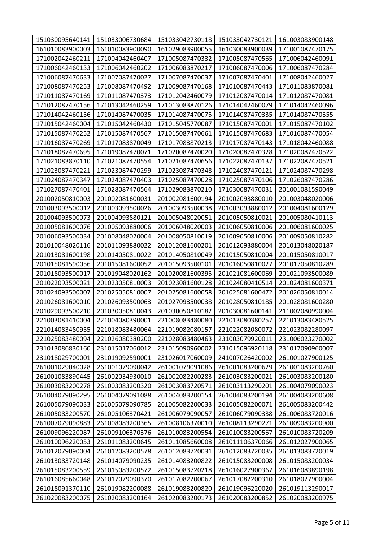| 151030095640141 | 151033006730684 | 151033042730118 | 151033042730121 | 161003083900148 |
|-----------------|-----------------|-----------------|-----------------|-----------------|
| 161010083900003 | 161010083900090 | 161029083900055 | 161030083900039 | 171001087470175 |
| 171002042460211 | 171004042460407 | 171005087470332 | 171005087470565 | 171006042460091 |
| 171006042460133 | 171006042460202 | 171006083870217 | 171006087470006 | 171006087470284 |
| 171006087470633 | 171007087470027 | 171007087470037 | 171007087470401 | 171008042460027 |
| 171008087470253 | 171008087470492 | 171009087470168 | 171010087470443 | 171011083870081 |
| 171011087470169 | 171011087470373 | 171012042460079 | 171012087470014 | 171012087470081 |
| 171012087470156 | 171013042460259 | 171013083870126 | 171014042460079 | 171014042460096 |
| 171014042460156 | 171014087470035 | 171014087470075 | 171014087470335 | 171014087470355 |
| 171015042460004 | 171015042460430 | 171015045770087 | 171015087470001 | 171015087470102 |
| 171015087470252 | 171015087470567 | 171015087470661 | 171015087470683 | 171016087470054 |
| 171016087470269 | 171017083870049 | 171017083870213 | 171017087470143 | 171018042460088 |
| 171018087470695 | 171019087470071 | 171020087470020 | 171020087470328 | 171020087470522 |
| 171021083870110 | 171021087470554 | 171021087470656 | 171022087470137 | 171022087470521 |
| 171023087470221 | 171023087470299 | 171023087470348 | 171024087470121 | 171024087470298 |
| 171024087470347 | 171024087470403 | 171025087470028 | 171025087470106 | 171026087470286 |
| 171027087470401 | 171028087470564 | 171029083870210 | 171030087470031 | 201001081590049 |
| 201002050810003 | 201002081600031 | 201002081600194 | 201002093880010 | 201003048020006 |
| 201003093500012 | 201003093500026 | 201003093500038 | 201003093880012 | 201004081600129 |
| 201004093500073 | 201004093880121 | 201005048020051 | 201005050810021 | 201005080410113 |
| 201005081600076 | 201005093880006 | 201006048020003 | 201006050810006 | 201006081600025 |
| 201006093500034 | 201008048020004 | 201008050810019 | 201009050810006 | 201009050810282 |
| 201010048020116 | 201011093880022 | 201012081600201 | 201012093880004 | 201013048020187 |
| 201013081600198 | 201014050810022 | 201014050810049 | 201015050810004 | 201015050810017 |
| 201015081590056 | 201015081600052 | 201015093500101 | 201016050810027 | 201017050810289 |
| 201018093500017 | 201019048020162 | 201020081600395 | 201021081600069 | 201021093500089 |
| 201022093500021 | 201023050810003 | 201023081600128 | 201024080410514 | 201024081600371 |
| 201024093500007 | 201025050810007 | 201025081600058 | 201025081600472 | 201026050810014 |
| 201026081600010 | 201026093500063 | 201027093500038 | 201028050810185 | 201028081600280 |
| 201029093500210 | 201030050810043 | 201030050810182 | 201030081600141 | 211002080990004 |
| 221003081410004 | 221004080390001 | 221008083480080 | 221013080380257 | 221013083480525 |
| 221014083480955 | 221018083480064 | 221019082080157 | 221022082080072 | 221023082280097 |
| 221025083480094 | 221026080380200 | 221028083480463 | 231003079920011 | 231006023270002 |
| 231013086830160 | 231015017060012 | 231015090960002 | 231015096920118 | 231017090960007 |
| 231018029700001 | 231019092590001 | 231026017060009 | 241007026420002 | 261001027900125 |
| 261001029040028 | 261001079090042 | 261001079091086 | 261001083200629 | 261001083200760 |
| 261001083890445 | 261002034930010 | 261002082200283 | 261003083200021 | 261003083200180 |
| 261003083200278 | 261003083200320 | 261003083720571 | 261003113290201 | 261004079090023 |
| 261004079090295 | 261004079091088 | 261004083200154 | 261004083200194 | 261004083200608 |
| 261005079090033 | 261005079090785 | 261005082200033 | 261005082200071 | 261005083200442 |
| 261005083200570 | 261005106370421 | 261006079090057 | 261006079090338 | 261006083720016 |
| 261007079090883 | 261008083200365 | 261008106370010 | 261008113290271 | 261009083200900 |
| 261009096220087 | 261009106370376 | 261010083200554 | 261010083200567 | 261010083720209 |
| 261010096220053 | 261011083200645 | 261011085660008 | 261011106370066 | 261012027900065 |
| 261012079090004 | 261012083200578 | 261012083720031 | 261012083720035 | 261013083720019 |
| 261013083720148 | 261014079090235 | 261014083200822 | 261015083200008 | 261015083200034 |
| 261015083200559 | 261015083200572 | 261015083720218 | 261016027900367 | 261016083890198 |
| 261016085660048 | 261017079090370 | 261017082200067 | 261017082200310 | 261018027900004 |
| 261018091370110 | 261019082200088 | 261019083200820 | 261019096220020 | 261019113290017 |
| 261020083200075 | 261020083200164 | 261020083200173 | 261020083200852 | 261020083200975 |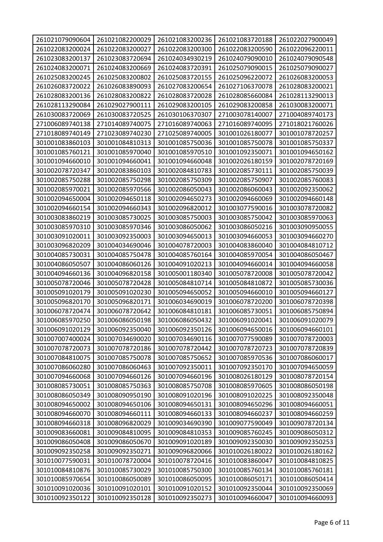| 261022083200024<br>261022083200027<br>261022083200300<br>261022083200590<br>261022096220011<br>261023083200137<br>261023083720694<br>261024034930219<br>261024079090010<br>261024079090548<br>261024083200071<br>261024083200669<br>261024083720391<br>261025079090015<br>261025079090027<br>261025083200245<br>261025083200802<br>261025083720155<br>261025096220072<br>261026083200053<br>261026083720022<br>261026083890093<br>261027083200654<br>261027106370078<br>261028083200021<br>261028083200136<br>261028083200822<br>261028083720028<br>261028085660084<br>261028113290013<br>261029083200858<br>261028113290084<br>261029027900111<br>261029083200105<br>261030083200071<br>261030083720069<br>261030083720525<br>261030106370307<br>271003078140007<br>271004089740173<br>271006089740138<br>271014089740075<br>271018021760026<br>271016089740063<br>271016089740095<br>271018089740149<br>271023089740230<br>271025089740005<br>301001026180077<br>301001078720257<br>301001083860103<br>301001084810313<br>301001085750036<br>301001085750078<br>301001085750337<br>301001085760121<br>301001085970040<br>301001085970510<br>301001092350071<br>301001094650162<br>301001094660010<br>301001094660041<br>301001094660048<br>301002026180159<br>301002078720169<br>301002078720347<br>301002083860103<br>301002084810783<br>301002085730111<br>301002085750039<br>301002085750288<br>301002085750298<br>301002085750309<br>301002085750907<br>301002085760083<br>301002085970021<br>301002085970566<br>301002086050043<br>301002086060043<br>301002092350062<br>301002094650004<br>301002094650118<br>301002094650273<br>301002094660069<br>301002094660148<br>301002094660154<br>301002094660343<br>301002096820012<br>301003077590016<br>301003078720082<br>301003083860219<br>301003085730025<br>301003085750003<br>301003085750042<br>301003085970063<br>301003085970310<br>301003085970346<br>301003086050062<br>301003086050216<br>301003090950055<br>301003091020011<br>301003092350003<br>301003094650013<br>301003094660053<br>301003094660270<br>301003096820209<br>301004034690046<br>301004078720003<br>301004083860040<br>301004084810712<br>301004085730031<br>301004085750478<br>301004085760164<br>301004085970054<br>301004086050467<br>301004086050507<br>301004086060126<br>301004091020213<br>301004094660014<br>301004094660058<br>301004096820158<br>301005001180340<br>301005078720008<br>301005078720042<br>301004094660136<br>301005078720046<br>301005078720428<br>301005084810872<br>301005084810714<br>301005085730036<br>301005091020179<br>301005091020230<br>301005094650052<br>301005094660010<br>301005094660127<br>301005096820170<br>301005096820171<br>301006034690019<br>301006078720200<br>301006078720398<br>301006078720474<br>301006078720642<br>301006084810181<br>301006085730051<br>301006085750894<br>301006085970250<br>301006086050198<br>301006086050432<br>301006091020041<br>301006091020079<br>301006091020129<br>301006092350040<br>301006092350126<br>301006094650016<br>301006094660101<br>301007007400024<br>301007034690020<br>301007034690116<br>301007077590089<br>301007078720003<br>301007078720073<br>301007078720186<br>301007078720442<br>301007078720723<br>301007078720839<br>301007084810075<br>301007085750078<br>301007085750652<br>301007085970536<br>301007086060017<br>301007086060280<br>301007086060463<br>301007092350011<br>301007092350170<br>301007094650059<br>301007094660068<br>301007094660126<br>301007094660196<br>301008026180129<br>301008078720154<br>301008085750363<br>301008085750708<br>301008085970605<br>301008085730051<br>301008086050198<br>301008086050349<br>301008090950190<br>301008091020196<br>301008091020225<br>301008092350048<br>301008094650106<br>301008094650296<br>301008094650002<br>301008094650131<br>301008094660051<br>301008094660111<br>301008094660133<br>301008094660237<br>301008094660070<br>301008094660259<br>301008094660318<br>301008096820029<br>301009034690390<br>301009077590049<br>301009078720134<br>301009083660081<br>301009084810095<br>301009084810353<br>301009085760245<br>301009086050312<br>301009086050408<br>301009086050670<br>301009091020189<br>301009092350030<br>301009092350253<br>301009092350271<br>301009096820066<br>301010026180022<br>301009092350258<br>301010026180162<br>301010077590031<br>301010078720004<br>301010078720416<br>301010083860047<br>301010084810825<br>301010085730029<br>301010085760134<br>301010084810876<br>301010085750300<br>301010085760181<br>301010086050089<br>301010086050095<br>301010086050171<br>301010085970654<br>301010086050414<br>301010091020036<br>301010091020101<br>301010091020152<br>301010092350044<br>301010092350069<br>301010092350122<br>301010092350128<br>301010092350273<br>301010094660047<br>301010094660093 |                 |                 |                 |                 |                 |
|---------------------------------------------------------------------------------------------------------------------------------------------------------------------------------------------------------------------------------------------------------------------------------------------------------------------------------------------------------------------------------------------------------------------------------------------------------------------------------------------------------------------------------------------------------------------------------------------------------------------------------------------------------------------------------------------------------------------------------------------------------------------------------------------------------------------------------------------------------------------------------------------------------------------------------------------------------------------------------------------------------------------------------------------------------------------------------------------------------------------------------------------------------------------------------------------------------------------------------------------------------------------------------------------------------------------------------------------------------------------------------------------------------------------------------------------------------------------------------------------------------------------------------------------------------------------------------------------------------------------------------------------------------------------------------------------------------------------------------------------------------------------------------------------------------------------------------------------------------------------------------------------------------------------------------------------------------------------------------------------------------------------------------------------------------------------------------------------------------------------------------------------------------------------------------------------------------------------------------------------------------------------------------------------------------------------------------------------------------------------------------------------------------------------------------------------------------------------------------------------------------------------------------------------------------------------------------------------------------------------------------------------------------------------------------------------------------------------------------------------------------------------------------------------------------------------------------------------------------------------------------------------------------------------------------------------------------------------------------------------------------------------------------------------------------------------------------------------------------------------------------------------------------------------------------------------------------------------------------------------------------------------------------------------------------------------------------------------------------------------------------------------------------------------------------------------------------------------------------------------------------------------------------------------------------------------------------------------------------------------------------------------------------------------------------------------------------------------------------------------------------------------------------------------------------------------------------------------------------------------------------------------------------------------------------------------------------------------------------------------------------------------------------------------------------------------------------------------------------------------------------------------------------------------------------------------------------------------------------------------------------------------------------------------------------------------------------------------------------------------------------------------------------------------------------------------------------------------------------------------------------------------------------------------------------------------------------------------------------------------------------------------------------------------------------------------------------------------------------------------------------------------------------------------------------------------------------------------|-----------------|-----------------|-----------------|-----------------|-----------------|
|                                                                                                                                                                                                                                                                                                                                                                                                                                                                                                                                                                                                                                                                                                                                                                                                                                                                                                                                                                                                                                                                                                                                                                                                                                                                                                                                                                                                                                                                                                                                                                                                                                                                                                                                                                                                                                                                                                                                                                                                                                                                                                                                                                                                                                                                                                                                                                                                                                                                                                                                                                                                                                                                                                                                                                                                                                                                                                                                                                                                                                                                                                                                                                                                                                                                                                                                                                                                                                                                                                                                                                                                                                                                                                                                                                                                                                                                                                                                                                                                                                                                                                                                                                                                                                                                                                                                                                                                                                                                                                                                                                                                                                                                                                                                                                                                                                             | 261021079090604 | 261021082200029 | 261021083200236 | 261021083720188 | 261022027900049 |
|                                                                                                                                                                                                                                                                                                                                                                                                                                                                                                                                                                                                                                                                                                                                                                                                                                                                                                                                                                                                                                                                                                                                                                                                                                                                                                                                                                                                                                                                                                                                                                                                                                                                                                                                                                                                                                                                                                                                                                                                                                                                                                                                                                                                                                                                                                                                                                                                                                                                                                                                                                                                                                                                                                                                                                                                                                                                                                                                                                                                                                                                                                                                                                                                                                                                                                                                                                                                                                                                                                                                                                                                                                                                                                                                                                                                                                                                                                                                                                                                                                                                                                                                                                                                                                                                                                                                                                                                                                                                                                                                                                                                                                                                                                                                                                                                                                             |                 |                 |                 |                 |                 |
|                                                                                                                                                                                                                                                                                                                                                                                                                                                                                                                                                                                                                                                                                                                                                                                                                                                                                                                                                                                                                                                                                                                                                                                                                                                                                                                                                                                                                                                                                                                                                                                                                                                                                                                                                                                                                                                                                                                                                                                                                                                                                                                                                                                                                                                                                                                                                                                                                                                                                                                                                                                                                                                                                                                                                                                                                                                                                                                                                                                                                                                                                                                                                                                                                                                                                                                                                                                                                                                                                                                                                                                                                                                                                                                                                                                                                                                                                                                                                                                                                                                                                                                                                                                                                                                                                                                                                                                                                                                                                                                                                                                                                                                                                                                                                                                                                                             |                 |                 |                 |                 |                 |
|                                                                                                                                                                                                                                                                                                                                                                                                                                                                                                                                                                                                                                                                                                                                                                                                                                                                                                                                                                                                                                                                                                                                                                                                                                                                                                                                                                                                                                                                                                                                                                                                                                                                                                                                                                                                                                                                                                                                                                                                                                                                                                                                                                                                                                                                                                                                                                                                                                                                                                                                                                                                                                                                                                                                                                                                                                                                                                                                                                                                                                                                                                                                                                                                                                                                                                                                                                                                                                                                                                                                                                                                                                                                                                                                                                                                                                                                                                                                                                                                                                                                                                                                                                                                                                                                                                                                                                                                                                                                                                                                                                                                                                                                                                                                                                                                                                             |                 |                 |                 |                 |                 |
|                                                                                                                                                                                                                                                                                                                                                                                                                                                                                                                                                                                                                                                                                                                                                                                                                                                                                                                                                                                                                                                                                                                                                                                                                                                                                                                                                                                                                                                                                                                                                                                                                                                                                                                                                                                                                                                                                                                                                                                                                                                                                                                                                                                                                                                                                                                                                                                                                                                                                                                                                                                                                                                                                                                                                                                                                                                                                                                                                                                                                                                                                                                                                                                                                                                                                                                                                                                                                                                                                                                                                                                                                                                                                                                                                                                                                                                                                                                                                                                                                                                                                                                                                                                                                                                                                                                                                                                                                                                                                                                                                                                                                                                                                                                                                                                                                                             |                 |                 |                 |                 |                 |
|                                                                                                                                                                                                                                                                                                                                                                                                                                                                                                                                                                                                                                                                                                                                                                                                                                                                                                                                                                                                                                                                                                                                                                                                                                                                                                                                                                                                                                                                                                                                                                                                                                                                                                                                                                                                                                                                                                                                                                                                                                                                                                                                                                                                                                                                                                                                                                                                                                                                                                                                                                                                                                                                                                                                                                                                                                                                                                                                                                                                                                                                                                                                                                                                                                                                                                                                                                                                                                                                                                                                                                                                                                                                                                                                                                                                                                                                                                                                                                                                                                                                                                                                                                                                                                                                                                                                                                                                                                                                                                                                                                                                                                                                                                                                                                                                                                             |                 |                 |                 |                 |                 |
|                                                                                                                                                                                                                                                                                                                                                                                                                                                                                                                                                                                                                                                                                                                                                                                                                                                                                                                                                                                                                                                                                                                                                                                                                                                                                                                                                                                                                                                                                                                                                                                                                                                                                                                                                                                                                                                                                                                                                                                                                                                                                                                                                                                                                                                                                                                                                                                                                                                                                                                                                                                                                                                                                                                                                                                                                                                                                                                                                                                                                                                                                                                                                                                                                                                                                                                                                                                                                                                                                                                                                                                                                                                                                                                                                                                                                                                                                                                                                                                                                                                                                                                                                                                                                                                                                                                                                                                                                                                                                                                                                                                                                                                                                                                                                                                                                                             |                 |                 |                 |                 |                 |
|                                                                                                                                                                                                                                                                                                                                                                                                                                                                                                                                                                                                                                                                                                                                                                                                                                                                                                                                                                                                                                                                                                                                                                                                                                                                                                                                                                                                                                                                                                                                                                                                                                                                                                                                                                                                                                                                                                                                                                                                                                                                                                                                                                                                                                                                                                                                                                                                                                                                                                                                                                                                                                                                                                                                                                                                                                                                                                                                                                                                                                                                                                                                                                                                                                                                                                                                                                                                                                                                                                                                                                                                                                                                                                                                                                                                                                                                                                                                                                                                                                                                                                                                                                                                                                                                                                                                                                                                                                                                                                                                                                                                                                                                                                                                                                                                                                             |                 |                 |                 |                 |                 |
|                                                                                                                                                                                                                                                                                                                                                                                                                                                                                                                                                                                                                                                                                                                                                                                                                                                                                                                                                                                                                                                                                                                                                                                                                                                                                                                                                                                                                                                                                                                                                                                                                                                                                                                                                                                                                                                                                                                                                                                                                                                                                                                                                                                                                                                                                                                                                                                                                                                                                                                                                                                                                                                                                                                                                                                                                                                                                                                                                                                                                                                                                                                                                                                                                                                                                                                                                                                                                                                                                                                                                                                                                                                                                                                                                                                                                                                                                                                                                                                                                                                                                                                                                                                                                                                                                                                                                                                                                                                                                                                                                                                                                                                                                                                                                                                                                                             |                 |                 |                 |                 |                 |
|                                                                                                                                                                                                                                                                                                                                                                                                                                                                                                                                                                                                                                                                                                                                                                                                                                                                                                                                                                                                                                                                                                                                                                                                                                                                                                                                                                                                                                                                                                                                                                                                                                                                                                                                                                                                                                                                                                                                                                                                                                                                                                                                                                                                                                                                                                                                                                                                                                                                                                                                                                                                                                                                                                                                                                                                                                                                                                                                                                                                                                                                                                                                                                                                                                                                                                                                                                                                                                                                                                                                                                                                                                                                                                                                                                                                                                                                                                                                                                                                                                                                                                                                                                                                                                                                                                                                                                                                                                                                                                                                                                                                                                                                                                                                                                                                                                             |                 |                 |                 |                 |                 |
|                                                                                                                                                                                                                                                                                                                                                                                                                                                                                                                                                                                                                                                                                                                                                                                                                                                                                                                                                                                                                                                                                                                                                                                                                                                                                                                                                                                                                                                                                                                                                                                                                                                                                                                                                                                                                                                                                                                                                                                                                                                                                                                                                                                                                                                                                                                                                                                                                                                                                                                                                                                                                                                                                                                                                                                                                                                                                                                                                                                                                                                                                                                                                                                                                                                                                                                                                                                                                                                                                                                                                                                                                                                                                                                                                                                                                                                                                                                                                                                                                                                                                                                                                                                                                                                                                                                                                                                                                                                                                                                                                                                                                                                                                                                                                                                                                                             |                 |                 |                 |                 |                 |
|                                                                                                                                                                                                                                                                                                                                                                                                                                                                                                                                                                                                                                                                                                                                                                                                                                                                                                                                                                                                                                                                                                                                                                                                                                                                                                                                                                                                                                                                                                                                                                                                                                                                                                                                                                                                                                                                                                                                                                                                                                                                                                                                                                                                                                                                                                                                                                                                                                                                                                                                                                                                                                                                                                                                                                                                                                                                                                                                                                                                                                                                                                                                                                                                                                                                                                                                                                                                                                                                                                                                                                                                                                                                                                                                                                                                                                                                                                                                                                                                                                                                                                                                                                                                                                                                                                                                                                                                                                                                                                                                                                                                                                                                                                                                                                                                                                             |                 |                 |                 |                 |                 |
|                                                                                                                                                                                                                                                                                                                                                                                                                                                                                                                                                                                                                                                                                                                                                                                                                                                                                                                                                                                                                                                                                                                                                                                                                                                                                                                                                                                                                                                                                                                                                                                                                                                                                                                                                                                                                                                                                                                                                                                                                                                                                                                                                                                                                                                                                                                                                                                                                                                                                                                                                                                                                                                                                                                                                                                                                                                                                                                                                                                                                                                                                                                                                                                                                                                                                                                                                                                                                                                                                                                                                                                                                                                                                                                                                                                                                                                                                                                                                                                                                                                                                                                                                                                                                                                                                                                                                                                                                                                                                                                                                                                                                                                                                                                                                                                                                                             |                 |                 |                 |                 |                 |
|                                                                                                                                                                                                                                                                                                                                                                                                                                                                                                                                                                                                                                                                                                                                                                                                                                                                                                                                                                                                                                                                                                                                                                                                                                                                                                                                                                                                                                                                                                                                                                                                                                                                                                                                                                                                                                                                                                                                                                                                                                                                                                                                                                                                                                                                                                                                                                                                                                                                                                                                                                                                                                                                                                                                                                                                                                                                                                                                                                                                                                                                                                                                                                                                                                                                                                                                                                                                                                                                                                                                                                                                                                                                                                                                                                                                                                                                                                                                                                                                                                                                                                                                                                                                                                                                                                                                                                                                                                                                                                                                                                                                                                                                                                                                                                                                                                             |                 |                 |                 |                 |                 |
|                                                                                                                                                                                                                                                                                                                                                                                                                                                                                                                                                                                                                                                                                                                                                                                                                                                                                                                                                                                                                                                                                                                                                                                                                                                                                                                                                                                                                                                                                                                                                                                                                                                                                                                                                                                                                                                                                                                                                                                                                                                                                                                                                                                                                                                                                                                                                                                                                                                                                                                                                                                                                                                                                                                                                                                                                                                                                                                                                                                                                                                                                                                                                                                                                                                                                                                                                                                                                                                                                                                                                                                                                                                                                                                                                                                                                                                                                                                                                                                                                                                                                                                                                                                                                                                                                                                                                                                                                                                                                                                                                                                                                                                                                                                                                                                                                                             |                 |                 |                 |                 |                 |
|                                                                                                                                                                                                                                                                                                                                                                                                                                                                                                                                                                                                                                                                                                                                                                                                                                                                                                                                                                                                                                                                                                                                                                                                                                                                                                                                                                                                                                                                                                                                                                                                                                                                                                                                                                                                                                                                                                                                                                                                                                                                                                                                                                                                                                                                                                                                                                                                                                                                                                                                                                                                                                                                                                                                                                                                                                                                                                                                                                                                                                                                                                                                                                                                                                                                                                                                                                                                                                                                                                                                                                                                                                                                                                                                                                                                                                                                                                                                                                                                                                                                                                                                                                                                                                                                                                                                                                                                                                                                                                                                                                                                                                                                                                                                                                                                                                             |                 |                 |                 |                 |                 |
|                                                                                                                                                                                                                                                                                                                                                                                                                                                                                                                                                                                                                                                                                                                                                                                                                                                                                                                                                                                                                                                                                                                                                                                                                                                                                                                                                                                                                                                                                                                                                                                                                                                                                                                                                                                                                                                                                                                                                                                                                                                                                                                                                                                                                                                                                                                                                                                                                                                                                                                                                                                                                                                                                                                                                                                                                                                                                                                                                                                                                                                                                                                                                                                                                                                                                                                                                                                                                                                                                                                                                                                                                                                                                                                                                                                                                                                                                                                                                                                                                                                                                                                                                                                                                                                                                                                                                                                                                                                                                                                                                                                                                                                                                                                                                                                                                                             |                 |                 |                 |                 |                 |
|                                                                                                                                                                                                                                                                                                                                                                                                                                                                                                                                                                                                                                                                                                                                                                                                                                                                                                                                                                                                                                                                                                                                                                                                                                                                                                                                                                                                                                                                                                                                                                                                                                                                                                                                                                                                                                                                                                                                                                                                                                                                                                                                                                                                                                                                                                                                                                                                                                                                                                                                                                                                                                                                                                                                                                                                                                                                                                                                                                                                                                                                                                                                                                                                                                                                                                                                                                                                                                                                                                                                                                                                                                                                                                                                                                                                                                                                                                                                                                                                                                                                                                                                                                                                                                                                                                                                                                                                                                                                                                                                                                                                                                                                                                                                                                                                                                             |                 |                 |                 |                 |                 |
|                                                                                                                                                                                                                                                                                                                                                                                                                                                                                                                                                                                                                                                                                                                                                                                                                                                                                                                                                                                                                                                                                                                                                                                                                                                                                                                                                                                                                                                                                                                                                                                                                                                                                                                                                                                                                                                                                                                                                                                                                                                                                                                                                                                                                                                                                                                                                                                                                                                                                                                                                                                                                                                                                                                                                                                                                                                                                                                                                                                                                                                                                                                                                                                                                                                                                                                                                                                                                                                                                                                                                                                                                                                                                                                                                                                                                                                                                                                                                                                                                                                                                                                                                                                                                                                                                                                                                                                                                                                                                                                                                                                                                                                                                                                                                                                                                                             |                 |                 |                 |                 |                 |
|                                                                                                                                                                                                                                                                                                                                                                                                                                                                                                                                                                                                                                                                                                                                                                                                                                                                                                                                                                                                                                                                                                                                                                                                                                                                                                                                                                                                                                                                                                                                                                                                                                                                                                                                                                                                                                                                                                                                                                                                                                                                                                                                                                                                                                                                                                                                                                                                                                                                                                                                                                                                                                                                                                                                                                                                                                                                                                                                                                                                                                                                                                                                                                                                                                                                                                                                                                                                                                                                                                                                                                                                                                                                                                                                                                                                                                                                                                                                                                                                                                                                                                                                                                                                                                                                                                                                                                                                                                                                                                                                                                                                                                                                                                                                                                                                                                             |                 |                 |                 |                 |                 |
|                                                                                                                                                                                                                                                                                                                                                                                                                                                                                                                                                                                                                                                                                                                                                                                                                                                                                                                                                                                                                                                                                                                                                                                                                                                                                                                                                                                                                                                                                                                                                                                                                                                                                                                                                                                                                                                                                                                                                                                                                                                                                                                                                                                                                                                                                                                                                                                                                                                                                                                                                                                                                                                                                                                                                                                                                                                                                                                                                                                                                                                                                                                                                                                                                                                                                                                                                                                                                                                                                                                                                                                                                                                                                                                                                                                                                                                                                                                                                                                                                                                                                                                                                                                                                                                                                                                                                                                                                                                                                                                                                                                                                                                                                                                                                                                                                                             |                 |                 |                 |                 |                 |
|                                                                                                                                                                                                                                                                                                                                                                                                                                                                                                                                                                                                                                                                                                                                                                                                                                                                                                                                                                                                                                                                                                                                                                                                                                                                                                                                                                                                                                                                                                                                                                                                                                                                                                                                                                                                                                                                                                                                                                                                                                                                                                                                                                                                                                                                                                                                                                                                                                                                                                                                                                                                                                                                                                                                                                                                                                                                                                                                                                                                                                                                                                                                                                                                                                                                                                                                                                                                                                                                                                                                                                                                                                                                                                                                                                                                                                                                                                                                                                                                                                                                                                                                                                                                                                                                                                                                                                                                                                                                                                                                                                                                                                                                                                                                                                                                                                             |                 |                 |                 |                 |                 |
|                                                                                                                                                                                                                                                                                                                                                                                                                                                                                                                                                                                                                                                                                                                                                                                                                                                                                                                                                                                                                                                                                                                                                                                                                                                                                                                                                                                                                                                                                                                                                                                                                                                                                                                                                                                                                                                                                                                                                                                                                                                                                                                                                                                                                                                                                                                                                                                                                                                                                                                                                                                                                                                                                                                                                                                                                                                                                                                                                                                                                                                                                                                                                                                                                                                                                                                                                                                                                                                                                                                                                                                                                                                                                                                                                                                                                                                                                                                                                                                                                                                                                                                                                                                                                                                                                                                                                                                                                                                                                                                                                                                                                                                                                                                                                                                                                                             |                 |                 |                 |                 |                 |
|                                                                                                                                                                                                                                                                                                                                                                                                                                                                                                                                                                                                                                                                                                                                                                                                                                                                                                                                                                                                                                                                                                                                                                                                                                                                                                                                                                                                                                                                                                                                                                                                                                                                                                                                                                                                                                                                                                                                                                                                                                                                                                                                                                                                                                                                                                                                                                                                                                                                                                                                                                                                                                                                                                                                                                                                                                                                                                                                                                                                                                                                                                                                                                                                                                                                                                                                                                                                                                                                                                                                                                                                                                                                                                                                                                                                                                                                                                                                                                                                                                                                                                                                                                                                                                                                                                                                                                                                                                                                                                                                                                                                                                                                                                                                                                                                                                             |                 |                 |                 |                 |                 |
|                                                                                                                                                                                                                                                                                                                                                                                                                                                                                                                                                                                                                                                                                                                                                                                                                                                                                                                                                                                                                                                                                                                                                                                                                                                                                                                                                                                                                                                                                                                                                                                                                                                                                                                                                                                                                                                                                                                                                                                                                                                                                                                                                                                                                                                                                                                                                                                                                                                                                                                                                                                                                                                                                                                                                                                                                                                                                                                                                                                                                                                                                                                                                                                                                                                                                                                                                                                                                                                                                                                                                                                                                                                                                                                                                                                                                                                                                                                                                                                                                                                                                                                                                                                                                                                                                                                                                                                                                                                                                                                                                                                                                                                                                                                                                                                                                                             |                 |                 |                 |                 |                 |
|                                                                                                                                                                                                                                                                                                                                                                                                                                                                                                                                                                                                                                                                                                                                                                                                                                                                                                                                                                                                                                                                                                                                                                                                                                                                                                                                                                                                                                                                                                                                                                                                                                                                                                                                                                                                                                                                                                                                                                                                                                                                                                                                                                                                                                                                                                                                                                                                                                                                                                                                                                                                                                                                                                                                                                                                                                                                                                                                                                                                                                                                                                                                                                                                                                                                                                                                                                                                                                                                                                                                                                                                                                                                                                                                                                                                                                                                                                                                                                                                                                                                                                                                                                                                                                                                                                                                                                                                                                                                                                                                                                                                                                                                                                                                                                                                                                             |                 |                 |                 |                 |                 |
|                                                                                                                                                                                                                                                                                                                                                                                                                                                                                                                                                                                                                                                                                                                                                                                                                                                                                                                                                                                                                                                                                                                                                                                                                                                                                                                                                                                                                                                                                                                                                                                                                                                                                                                                                                                                                                                                                                                                                                                                                                                                                                                                                                                                                                                                                                                                                                                                                                                                                                                                                                                                                                                                                                                                                                                                                                                                                                                                                                                                                                                                                                                                                                                                                                                                                                                                                                                                                                                                                                                                                                                                                                                                                                                                                                                                                                                                                                                                                                                                                                                                                                                                                                                                                                                                                                                                                                                                                                                                                                                                                                                                                                                                                                                                                                                                                                             |                 |                 |                 |                 |                 |
|                                                                                                                                                                                                                                                                                                                                                                                                                                                                                                                                                                                                                                                                                                                                                                                                                                                                                                                                                                                                                                                                                                                                                                                                                                                                                                                                                                                                                                                                                                                                                                                                                                                                                                                                                                                                                                                                                                                                                                                                                                                                                                                                                                                                                                                                                                                                                                                                                                                                                                                                                                                                                                                                                                                                                                                                                                                                                                                                                                                                                                                                                                                                                                                                                                                                                                                                                                                                                                                                                                                                                                                                                                                                                                                                                                                                                                                                                                                                                                                                                                                                                                                                                                                                                                                                                                                                                                                                                                                                                                                                                                                                                                                                                                                                                                                                                                             |                 |                 |                 |                 |                 |
|                                                                                                                                                                                                                                                                                                                                                                                                                                                                                                                                                                                                                                                                                                                                                                                                                                                                                                                                                                                                                                                                                                                                                                                                                                                                                                                                                                                                                                                                                                                                                                                                                                                                                                                                                                                                                                                                                                                                                                                                                                                                                                                                                                                                                                                                                                                                                                                                                                                                                                                                                                                                                                                                                                                                                                                                                                                                                                                                                                                                                                                                                                                                                                                                                                                                                                                                                                                                                                                                                                                                                                                                                                                                                                                                                                                                                                                                                                                                                                                                                                                                                                                                                                                                                                                                                                                                                                                                                                                                                                                                                                                                                                                                                                                                                                                                                                             |                 |                 |                 |                 |                 |
|                                                                                                                                                                                                                                                                                                                                                                                                                                                                                                                                                                                                                                                                                                                                                                                                                                                                                                                                                                                                                                                                                                                                                                                                                                                                                                                                                                                                                                                                                                                                                                                                                                                                                                                                                                                                                                                                                                                                                                                                                                                                                                                                                                                                                                                                                                                                                                                                                                                                                                                                                                                                                                                                                                                                                                                                                                                                                                                                                                                                                                                                                                                                                                                                                                                                                                                                                                                                                                                                                                                                                                                                                                                                                                                                                                                                                                                                                                                                                                                                                                                                                                                                                                                                                                                                                                                                                                                                                                                                                                                                                                                                                                                                                                                                                                                                                                             |                 |                 |                 |                 |                 |
|                                                                                                                                                                                                                                                                                                                                                                                                                                                                                                                                                                                                                                                                                                                                                                                                                                                                                                                                                                                                                                                                                                                                                                                                                                                                                                                                                                                                                                                                                                                                                                                                                                                                                                                                                                                                                                                                                                                                                                                                                                                                                                                                                                                                                                                                                                                                                                                                                                                                                                                                                                                                                                                                                                                                                                                                                                                                                                                                                                                                                                                                                                                                                                                                                                                                                                                                                                                                                                                                                                                                                                                                                                                                                                                                                                                                                                                                                                                                                                                                                                                                                                                                                                                                                                                                                                                                                                                                                                                                                                                                                                                                                                                                                                                                                                                                                                             |                 |                 |                 |                 |                 |
|                                                                                                                                                                                                                                                                                                                                                                                                                                                                                                                                                                                                                                                                                                                                                                                                                                                                                                                                                                                                                                                                                                                                                                                                                                                                                                                                                                                                                                                                                                                                                                                                                                                                                                                                                                                                                                                                                                                                                                                                                                                                                                                                                                                                                                                                                                                                                                                                                                                                                                                                                                                                                                                                                                                                                                                                                                                                                                                                                                                                                                                                                                                                                                                                                                                                                                                                                                                                                                                                                                                                                                                                                                                                                                                                                                                                                                                                                                                                                                                                                                                                                                                                                                                                                                                                                                                                                                                                                                                                                                                                                                                                                                                                                                                                                                                                                                             |                 |                 |                 |                 |                 |
|                                                                                                                                                                                                                                                                                                                                                                                                                                                                                                                                                                                                                                                                                                                                                                                                                                                                                                                                                                                                                                                                                                                                                                                                                                                                                                                                                                                                                                                                                                                                                                                                                                                                                                                                                                                                                                                                                                                                                                                                                                                                                                                                                                                                                                                                                                                                                                                                                                                                                                                                                                                                                                                                                                                                                                                                                                                                                                                                                                                                                                                                                                                                                                                                                                                                                                                                                                                                                                                                                                                                                                                                                                                                                                                                                                                                                                                                                                                                                                                                                                                                                                                                                                                                                                                                                                                                                                                                                                                                                                                                                                                                                                                                                                                                                                                                                                             |                 |                 |                 |                 |                 |
|                                                                                                                                                                                                                                                                                                                                                                                                                                                                                                                                                                                                                                                                                                                                                                                                                                                                                                                                                                                                                                                                                                                                                                                                                                                                                                                                                                                                                                                                                                                                                                                                                                                                                                                                                                                                                                                                                                                                                                                                                                                                                                                                                                                                                                                                                                                                                                                                                                                                                                                                                                                                                                                                                                                                                                                                                                                                                                                                                                                                                                                                                                                                                                                                                                                                                                                                                                                                                                                                                                                                                                                                                                                                                                                                                                                                                                                                                                                                                                                                                                                                                                                                                                                                                                                                                                                                                                                                                                                                                                                                                                                                                                                                                                                                                                                                                                             |                 |                 |                 |                 |                 |
|                                                                                                                                                                                                                                                                                                                                                                                                                                                                                                                                                                                                                                                                                                                                                                                                                                                                                                                                                                                                                                                                                                                                                                                                                                                                                                                                                                                                                                                                                                                                                                                                                                                                                                                                                                                                                                                                                                                                                                                                                                                                                                                                                                                                                                                                                                                                                                                                                                                                                                                                                                                                                                                                                                                                                                                                                                                                                                                                                                                                                                                                                                                                                                                                                                                                                                                                                                                                                                                                                                                                                                                                                                                                                                                                                                                                                                                                                                                                                                                                                                                                                                                                                                                                                                                                                                                                                                                                                                                                                                                                                                                                                                                                                                                                                                                                                                             |                 |                 |                 |                 |                 |
|                                                                                                                                                                                                                                                                                                                                                                                                                                                                                                                                                                                                                                                                                                                                                                                                                                                                                                                                                                                                                                                                                                                                                                                                                                                                                                                                                                                                                                                                                                                                                                                                                                                                                                                                                                                                                                                                                                                                                                                                                                                                                                                                                                                                                                                                                                                                                                                                                                                                                                                                                                                                                                                                                                                                                                                                                                                                                                                                                                                                                                                                                                                                                                                                                                                                                                                                                                                                                                                                                                                                                                                                                                                                                                                                                                                                                                                                                                                                                                                                                                                                                                                                                                                                                                                                                                                                                                                                                                                                                                                                                                                                                                                                                                                                                                                                                                             |                 |                 |                 |                 |                 |
|                                                                                                                                                                                                                                                                                                                                                                                                                                                                                                                                                                                                                                                                                                                                                                                                                                                                                                                                                                                                                                                                                                                                                                                                                                                                                                                                                                                                                                                                                                                                                                                                                                                                                                                                                                                                                                                                                                                                                                                                                                                                                                                                                                                                                                                                                                                                                                                                                                                                                                                                                                                                                                                                                                                                                                                                                                                                                                                                                                                                                                                                                                                                                                                                                                                                                                                                                                                                                                                                                                                                                                                                                                                                                                                                                                                                                                                                                                                                                                                                                                                                                                                                                                                                                                                                                                                                                                                                                                                                                                                                                                                                                                                                                                                                                                                                                                             |                 |                 |                 |                 |                 |
|                                                                                                                                                                                                                                                                                                                                                                                                                                                                                                                                                                                                                                                                                                                                                                                                                                                                                                                                                                                                                                                                                                                                                                                                                                                                                                                                                                                                                                                                                                                                                                                                                                                                                                                                                                                                                                                                                                                                                                                                                                                                                                                                                                                                                                                                                                                                                                                                                                                                                                                                                                                                                                                                                                                                                                                                                                                                                                                                                                                                                                                                                                                                                                                                                                                                                                                                                                                                                                                                                                                                                                                                                                                                                                                                                                                                                                                                                                                                                                                                                                                                                                                                                                                                                                                                                                                                                                                                                                                                                                                                                                                                                                                                                                                                                                                                                                             |                 |                 |                 |                 |                 |
|                                                                                                                                                                                                                                                                                                                                                                                                                                                                                                                                                                                                                                                                                                                                                                                                                                                                                                                                                                                                                                                                                                                                                                                                                                                                                                                                                                                                                                                                                                                                                                                                                                                                                                                                                                                                                                                                                                                                                                                                                                                                                                                                                                                                                                                                                                                                                                                                                                                                                                                                                                                                                                                                                                                                                                                                                                                                                                                                                                                                                                                                                                                                                                                                                                                                                                                                                                                                                                                                                                                                                                                                                                                                                                                                                                                                                                                                                                                                                                                                                                                                                                                                                                                                                                                                                                                                                                                                                                                                                                                                                                                                                                                                                                                                                                                                                                             |                 |                 |                 |                 |                 |
|                                                                                                                                                                                                                                                                                                                                                                                                                                                                                                                                                                                                                                                                                                                                                                                                                                                                                                                                                                                                                                                                                                                                                                                                                                                                                                                                                                                                                                                                                                                                                                                                                                                                                                                                                                                                                                                                                                                                                                                                                                                                                                                                                                                                                                                                                                                                                                                                                                                                                                                                                                                                                                                                                                                                                                                                                                                                                                                                                                                                                                                                                                                                                                                                                                                                                                                                                                                                                                                                                                                                                                                                                                                                                                                                                                                                                                                                                                                                                                                                                                                                                                                                                                                                                                                                                                                                                                                                                                                                                                                                                                                                                                                                                                                                                                                                                                             |                 |                 |                 |                 |                 |
|                                                                                                                                                                                                                                                                                                                                                                                                                                                                                                                                                                                                                                                                                                                                                                                                                                                                                                                                                                                                                                                                                                                                                                                                                                                                                                                                                                                                                                                                                                                                                                                                                                                                                                                                                                                                                                                                                                                                                                                                                                                                                                                                                                                                                                                                                                                                                                                                                                                                                                                                                                                                                                                                                                                                                                                                                                                                                                                                                                                                                                                                                                                                                                                                                                                                                                                                                                                                                                                                                                                                                                                                                                                                                                                                                                                                                                                                                                                                                                                                                                                                                                                                                                                                                                                                                                                                                                                                                                                                                                                                                                                                                                                                                                                                                                                                                                             |                 |                 |                 |                 |                 |
|                                                                                                                                                                                                                                                                                                                                                                                                                                                                                                                                                                                                                                                                                                                                                                                                                                                                                                                                                                                                                                                                                                                                                                                                                                                                                                                                                                                                                                                                                                                                                                                                                                                                                                                                                                                                                                                                                                                                                                                                                                                                                                                                                                                                                                                                                                                                                                                                                                                                                                                                                                                                                                                                                                                                                                                                                                                                                                                                                                                                                                                                                                                                                                                                                                                                                                                                                                                                                                                                                                                                                                                                                                                                                                                                                                                                                                                                                                                                                                                                                                                                                                                                                                                                                                                                                                                                                                                                                                                                                                                                                                                                                                                                                                                                                                                                                                             |                 |                 |                 |                 |                 |
|                                                                                                                                                                                                                                                                                                                                                                                                                                                                                                                                                                                                                                                                                                                                                                                                                                                                                                                                                                                                                                                                                                                                                                                                                                                                                                                                                                                                                                                                                                                                                                                                                                                                                                                                                                                                                                                                                                                                                                                                                                                                                                                                                                                                                                                                                                                                                                                                                                                                                                                                                                                                                                                                                                                                                                                                                                                                                                                                                                                                                                                                                                                                                                                                                                                                                                                                                                                                                                                                                                                                                                                                                                                                                                                                                                                                                                                                                                                                                                                                                                                                                                                                                                                                                                                                                                                                                                                                                                                                                                                                                                                                                                                                                                                                                                                                                                             |                 |                 |                 |                 |                 |
|                                                                                                                                                                                                                                                                                                                                                                                                                                                                                                                                                                                                                                                                                                                                                                                                                                                                                                                                                                                                                                                                                                                                                                                                                                                                                                                                                                                                                                                                                                                                                                                                                                                                                                                                                                                                                                                                                                                                                                                                                                                                                                                                                                                                                                                                                                                                                                                                                                                                                                                                                                                                                                                                                                                                                                                                                                                                                                                                                                                                                                                                                                                                                                                                                                                                                                                                                                                                                                                                                                                                                                                                                                                                                                                                                                                                                                                                                                                                                                                                                                                                                                                                                                                                                                                                                                                                                                                                                                                                                                                                                                                                                                                                                                                                                                                                                                             |                 |                 |                 |                 |                 |
|                                                                                                                                                                                                                                                                                                                                                                                                                                                                                                                                                                                                                                                                                                                                                                                                                                                                                                                                                                                                                                                                                                                                                                                                                                                                                                                                                                                                                                                                                                                                                                                                                                                                                                                                                                                                                                                                                                                                                                                                                                                                                                                                                                                                                                                                                                                                                                                                                                                                                                                                                                                                                                                                                                                                                                                                                                                                                                                                                                                                                                                                                                                                                                                                                                                                                                                                                                                                                                                                                                                                                                                                                                                                                                                                                                                                                                                                                                                                                                                                                                                                                                                                                                                                                                                                                                                                                                                                                                                                                                                                                                                                                                                                                                                                                                                                                                             |                 |                 |                 |                 |                 |
|                                                                                                                                                                                                                                                                                                                                                                                                                                                                                                                                                                                                                                                                                                                                                                                                                                                                                                                                                                                                                                                                                                                                                                                                                                                                                                                                                                                                                                                                                                                                                                                                                                                                                                                                                                                                                                                                                                                                                                                                                                                                                                                                                                                                                                                                                                                                                                                                                                                                                                                                                                                                                                                                                                                                                                                                                                                                                                                                                                                                                                                                                                                                                                                                                                                                                                                                                                                                                                                                                                                                                                                                                                                                                                                                                                                                                                                                                                                                                                                                                                                                                                                                                                                                                                                                                                                                                                                                                                                                                                                                                                                                                                                                                                                                                                                                                                             |                 |                 |                 |                 |                 |
|                                                                                                                                                                                                                                                                                                                                                                                                                                                                                                                                                                                                                                                                                                                                                                                                                                                                                                                                                                                                                                                                                                                                                                                                                                                                                                                                                                                                                                                                                                                                                                                                                                                                                                                                                                                                                                                                                                                                                                                                                                                                                                                                                                                                                                                                                                                                                                                                                                                                                                                                                                                                                                                                                                                                                                                                                                                                                                                                                                                                                                                                                                                                                                                                                                                                                                                                                                                                                                                                                                                                                                                                                                                                                                                                                                                                                                                                                                                                                                                                                                                                                                                                                                                                                                                                                                                                                                                                                                                                                                                                                                                                                                                                                                                                                                                                                                             |                 |                 |                 |                 |                 |
|                                                                                                                                                                                                                                                                                                                                                                                                                                                                                                                                                                                                                                                                                                                                                                                                                                                                                                                                                                                                                                                                                                                                                                                                                                                                                                                                                                                                                                                                                                                                                                                                                                                                                                                                                                                                                                                                                                                                                                                                                                                                                                                                                                                                                                                                                                                                                                                                                                                                                                                                                                                                                                                                                                                                                                                                                                                                                                                                                                                                                                                                                                                                                                                                                                                                                                                                                                                                                                                                                                                                                                                                                                                                                                                                                                                                                                                                                                                                                                                                                                                                                                                                                                                                                                                                                                                                                                                                                                                                                                                                                                                                                                                                                                                                                                                                                                             |                 |                 |                 |                 |                 |
|                                                                                                                                                                                                                                                                                                                                                                                                                                                                                                                                                                                                                                                                                                                                                                                                                                                                                                                                                                                                                                                                                                                                                                                                                                                                                                                                                                                                                                                                                                                                                                                                                                                                                                                                                                                                                                                                                                                                                                                                                                                                                                                                                                                                                                                                                                                                                                                                                                                                                                                                                                                                                                                                                                                                                                                                                                                                                                                                                                                                                                                                                                                                                                                                                                                                                                                                                                                                                                                                                                                                                                                                                                                                                                                                                                                                                                                                                                                                                                                                                                                                                                                                                                                                                                                                                                                                                                                                                                                                                                                                                                                                                                                                                                                                                                                                                                             |                 |                 |                 |                 |                 |
|                                                                                                                                                                                                                                                                                                                                                                                                                                                                                                                                                                                                                                                                                                                                                                                                                                                                                                                                                                                                                                                                                                                                                                                                                                                                                                                                                                                                                                                                                                                                                                                                                                                                                                                                                                                                                                                                                                                                                                                                                                                                                                                                                                                                                                                                                                                                                                                                                                                                                                                                                                                                                                                                                                                                                                                                                                                                                                                                                                                                                                                                                                                                                                                                                                                                                                                                                                                                                                                                                                                                                                                                                                                                                                                                                                                                                                                                                                                                                                                                                                                                                                                                                                                                                                                                                                                                                                                                                                                                                                                                                                                                                                                                                                                                                                                                                                             |                 |                 |                 |                 |                 |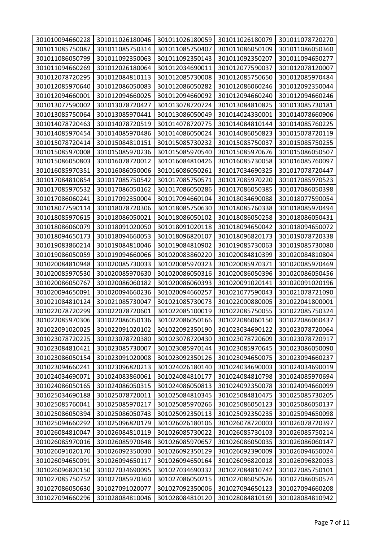| 301010094660228 | 301011026180046 | 301011026180059 | 301011026180079 | 301011078720270 |
|-----------------|-----------------|-----------------|-----------------|-----------------|
| 301011085750087 | 301011085750314 | 301011085750407 | 301011086050109 | 301011086050360 |
| 301011086050799 | 301011092350063 | 301011092350143 | 301011092350207 | 301011094650277 |
| 301011094660269 | 301012026180064 | 301012034690011 | 301012077590037 | 301012078120007 |
| 301012078720295 | 301012084810113 | 301012085730008 | 301012085750650 | 301012085970484 |
| 301012085970640 | 301012086050083 | 301012086050282 | 301012086060246 | 301012092350044 |
| 301012094660001 | 301012094660025 | 301012094660092 | 301012094660240 | 301012094660246 |
| 301013077590002 | 301013078720427 | 301013078720724 | 301013084810825 | 301013085730181 |
| 301013085750064 | 301013085970441 | 301013086050049 | 301014024330001 | 301014078660906 |
| 301014078720463 | 301014078720519 | 301014078720775 | 301014084810144 | 301014085760225 |
| 301014085970454 | 301014085970486 | 301014086050024 | 301014086050823 | 301015078720119 |
| 301015078720414 | 301015084810151 | 301015085730232 | 301015085750037 | 301015085750255 |
| 301015085970008 | 301015085970236 | 301015085970540 | 301015085970676 | 301015086050507 |
| 301015086050803 | 301016078720012 | 301016084810426 | 301016085730058 | 301016085760097 |
| 301016085970351 | 301016086050006 | 301016086050261 | 301017034690325 | 301017078720447 |
| 301017084810854 | 301017085750542 | 301017085750571 | 301017085970220 | 301017085970523 |
| 301017085970532 | 301017086050162 | 301017086050286 | 301017086050385 | 301017086050398 |
| 301017086060241 | 301017092350004 | 301017094660104 | 301018034690088 | 301018077590054 |
| 301018077590114 | 301018078720306 | 301018085750630 | 301018085760338 | 301018085970494 |
| 301018085970615 | 301018086050021 | 301018086050102 | 301018086050258 | 301018086050431 |
| 301018086060079 | 301018091020050 | 301018091020118 | 301018094650042 | 301018094650072 |
| 301018094650173 | 301018094660053 | 301018096820107 | 301018096820173 | 301019078720338 |
| 301019083860214 | 301019084810046 | 301019084810902 | 301019085730063 | 301019085730080 |
| 301019086050059 | 301019094660066 | 301020083860220 | 301020084810399 | 301020084810804 |
| 301020084810948 | 301020085730033 | 301020085970323 | 301020085970371 | 301020085970469 |
| 301020085970530 | 301020085970630 | 301020086050316 | 301020086050396 | 301020086050456 |
| 301020086050767 | 301020086060182 | 301020086060393 | 301020091020141 | 301020091020196 |
| 301020094650091 | 301020094660236 | 301020094660257 | 301021077590043 | 301021078721090 |
| 301021084810124 | 301021085730047 | 301021085730073 | 301022000880005 | 301022041800001 |
| 301022078720299 | 301022078720601 | 301022085100019 | 301022085750055 | 301022085750324 |
| 301022085970306 | 301022086050136 | 301022086050166 | 301022086060150 | 301022086060437 |
| 301022091020025 | 301022091020102 | 301022092350190 | 301023034690122 | 301023078720064 |
| 301023078720225 | 301023078720380 | 301023078720430 | 301023078720609 | 301023078720917 |
| 301023084810421 | 301023085730007 | 301023085970144 | 301023085970645 | 301023086050090 |
| 301023086050154 | 301023091020008 | 301023092350126 | 301023094650075 | 301023094660237 |
| 301023094660241 | 301023096820213 | 301024026180140 | 301024034690003 | 301024034690019 |
| 301024034690071 | 301024083860061 | 301024084810177 | 301024084810798 | 301024085970694 |
| 301024086050165 | 301024086050315 | 301024086050813 | 301024092350078 | 301024094660099 |
| 301025034690188 | 301025078720011 | 301025084810345 | 301025084810475 | 301025085730205 |
| 301025085760041 | 301025085970217 | 301025085970266 | 301025086050123 | 301025086050137 |
| 301025086050394 | 301025086050743 | 301025092350113 | 301025092350235 | 301025094650098 |
| 301025094660292 | 301025096820179 | 301026026180106 | 301026078720003 | 301026078720397 |
| 301026084810047 | 301026084810119 | 301026085730022 | 301026085730103 | 301026085750214 |
| 301026085970016 | 301026085970648 | 301026085970657 | 301026086050035 | 301026086060147 |
| 301026091020170 | 301026092350030 | 301026092350129 | 301026092390009 | 301026094650024 |
| 301026094650091 | 301026094650117 | 301026094650164 | 301026096820018 | 301026096820053 |
| 301026096820150 | 301027034690095 | 301027034690332 | 301027084810742 | 301027085750101 |
| 301027085750752 | 301027085970360 | 301027086050215 | 301027086050526 | 301027086050574 |
| 301027086050630 | 301027091020077 | 301027092350006 | 301027094650123 | 301027094660208 |
| 301027094660296 | 301028084810046 | 301028084810120 | 301028084810169 | 301028084810942 |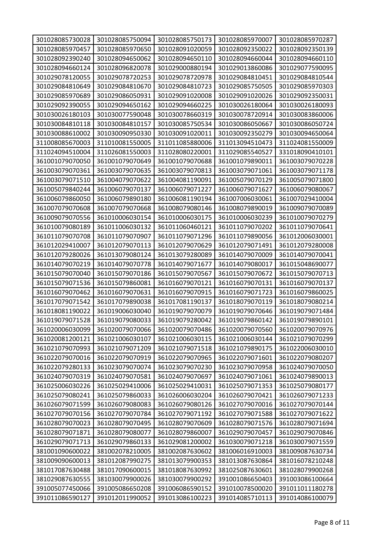| 301028085730028 | 301028085750094 | 301028085750173 | 301028085970007 | 301028085970287 |
|-----------------|-----------------|-----------------|-----------------|-----------------|
| 301028085970457 | 301028085970650 | 301028091020059 | 301028092350022 | 301028092350139 |
| 301028092390240 | 301028094650062 | 301028094650110 | 301028094660044 | 301028094660110 |
| 301028094660124 | 301028096820078 | 301029000880194 | 301029013860086 | 301029077590095 |
| 301029078120055 | 301029078720253 | 301029078720978 | 301029084810451 | 301029084810544 |
| 301029084810649 | 301029084810670 | 301029084810723 | 301029085750505 | 301029085970303 |
| 301029085970689 | 301029086050931 | 301029091020008 | 301029091020026 | 301029092350031 |
| 301029092390055 | 301029094650162 | 301029094660225 | 301030026180064 | 301030026180093 |
| 301030026180103 | 301030077590048 | 301030078660319 | 301030078720914 | 301030083860006 |
| 301030084810118 | 301030084810157 | 301030085750534 | 301030086050667 | 301030086050724 |
| 301030088610002 | 301030090950330 | 301030091020011 | 301030092350279 | 301030094650064 |
| 311008085670003 | 311010081550005 | 311011085880006 | 311013094510473 | 311024081550009 |
| 311024094510004 | 311026081550003 | 311028080220001 | 311029085540527 | 331018090410101 |
| 361001079070050 | 361001079070649 | 361001079070688 | 361001079890011 | 361003079070228 |
| 361003079070361 | 361003079070635 | 361003079070813 | 361003079071061 | 361003079071178 |
| 361003079071510 | 361004079070622 | 361004081190091 | 361005079070129 | 361005079071800 |
| 361005079840244 | 361006079070137 | 361006079071227 | 361006079071627 | 361006079080067 |
| 361006079860050 | 361006079890180 | 361006081190194 | 361007006030061 | 361007029410004 |
| 361007079070608 | 361007079070668 | 361008079080146 | 361008079890019 | 361009079070089 |
| 361009079070556 | 361010006030154 | 361010006030175 | 361010006030239 | 361010079070279 |
| 361010079080189 | 361011006030132 | 361011060460121 | 361011079070202 | 361011079070641 |
| 361011079070708 | 361011079070907 | 361011079071296 | 361011079890056 | 361012006030001 |
| 361012029410007 | 361012079070113 | 361012079070629 | 361012079071491 | 361012079280008 |
| 361012079280026 | 361013079080124 | 361013079280089 | 361014079070009 | 361014079070041 |
| 361014079070219 | 361014079070778 | 361014079071677 | 361014079080017 | 361015048690077 |
| 361015079070040 | 361015079070186 | 361015079070567 | 361015079070672 | 361015079070713 |
| 361015079071536 | 361015079860081 | 361016079070121 | 361016079070131 | 361016079070137 |
| 361016079070462 | 361016079070631 | 361016079070915 | 361016079071723 | 361016079860025 |
| 361017079071542 | 361017079890038 | 361017081190137 | 361018079070119 | 361018079080214 |
| 361018081190022 | 361019006030040 | 361019079070079 | 361019079070646 | 361019079071484 |
| 361019079071528 | 361019079080033 | 361019079280042 | 361019079860142 | 361019079890101 |
| 361020006030099 | 361020079070066 | 361020079070486 | 361020079070560 | 361020079070976 |
| 361020081200121 | 361021006030107 | 361021006030115 | 361021006030144 | 361021079070299 |
| 361021079070993 | 361021079071209 | 361021079071518 | 361021079890175 | 361022006030010 |
| 361022079070016 | 361022079070919 | 361022079070965 | 361022079071601 | 361022079080207 |
| 361022079280133 | 361023079070074 | 361023079070230 | 361023079070958 | 361024079070050 |
| 361024079070319 | 361024079070581 | 361024079070697 | 361024079071061 | 361024079890013 |
| 361025006030226 | 361025029410006 | 361025029410031 | 361025079071353 | 361025079080177 |
| 361025079080241 | 361025079860033 | 361026006030204 | 361026079070421 | 361026079071233 |
| 361026079071599 | 361026079080083 | 361026079080126 | 361027079070016 | 361027079070144 |
| 361027079070156 | 361027079070784 | 361027079071192 | 361027079071588 | 361027079071622 |
| 361028079070023 | 361028079070495 | 361028079070609 | 361028079071576 | 361028079071694 |
| 361028079071871 | 361028079080077 | 361028079860007 | 361029079070457 | 361029079070846 |
| 361029079071713 | 361029079860133 | 361029081200002 | 361030079071218 | 361030079071559 |
| 381001090600022 | 381002078210005 | 381002087630602 | 381006016910003 | 381009087630734 |
| 381009090600013 | 381012087990275 | 381013079900353 | 381013087630864 | 381016078210248 |
| 381017087630488 | 381017090600015 | 381018087630992 | 381025087630601 | 381028079900268 |
| 381029087630555 | 381030079900026 | 381030079900292 | 391001086650403 | 391003086100664 |
| 391005077450066 | 391005086650208 | 391006086590152 | 391010078500020 | 391011011180278 |
| 391011086590127 | 391012011990052 | 391013086100223 | 391014085710113 | 391014086100079 |
|                 |                 |                 |                 |                 |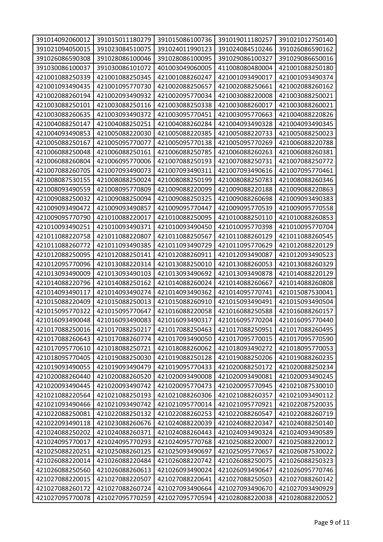| 391014092060012 | 391015011180279 | 391015086100736 | 391019011180257 | 391021012750140                    |
|-----------------|-----------------|-----------------|-----------------|------------------------------------|
| 391021094050015 | 391023084510075 | 391024011990123 | 391024084510246 | 391026086590162                    |
|                 | 391028086100046 |                 | 391029086100327 |                                    |
| 391026086590308 | 391030086101072 | 391028086100095 | 411008080480004 | 391029086650016<br>421001088250180 |
| 391030086100037 |                 | 401003049060005 |                 |                                    |
| 421001088250339 | 421001088250345 | 421001088260247 | 421001093490017 | 421001093490374                    |
| 421001093490435 | 421001095770730 | 421002088250657 | 421002088250661 | 421002088260162                    |
| 421002088260194 | 421002093490932 | 421002095770034 | 421003088220008 | 421003088250021                    |
| 421003088250101 | 421003088250116 | 421003088250338 | 421003088260017 | 421003088260021                    |
| 421003088260635 | 421003093490372 | 421003095770451 | 421003095770663 | 421004088220826                    |
| 421004088250147 | 421004088250251 | 421004088260284 | 421004093490328 | 421004093490345                    |
| 421004093490853 | 421005088220030 | 421005088220385 | 421005088220733 | 421005088250023                    |
| 421005088250167 | 421005095770077 | 421005095770138 | 421005095770269 | 421006088220788                    |
| 421006088250048 | 421006088250161 | 421006088250785 | 421006088260263 | 421006088260381                    |
| 421006088260804 | 421006095770006 | 421007088250193 | 421007088250731 | 421007088250772                    |
| 421007088260705 | 421007093490073 | 421007093490311 | 421007093490616 | 421007095770461                    |
| 421008087530155 | 421008088250024 | 421008088250199 | 421008088250783 | 421008088260346                    |
| 421008093490559 | 421008095770809 | 421009088220099 | 421009088220188 | 421009088220863                    |
| 421009088250032 | 421009088250094 | 421009088250325 | 421009088260698 | 421009093490383                    |
| 421009093490472 | 421009093490857 | 421009095770447 | 421009095770539 | 421009095770558                    |
| 421009095770790 | 421010088220017 | 421010088250095 | 421010088250110 | 421010088260853                    |
| 421010093490251 | 421010093490371 | 421010093490450 | 421010095770398 | 421010095770704                    |
| 421011088220758 | 421011088220807 | 421011088250567 | 421011088260129 | 421011088260545                    |
| 421011088260772 | 421011093490385 | 421011093490729 | 421011095770629 | 421012088220129                    |
| 421012088250095 | 421012088250141 | 421012088260911 | 421012093490087 | 421012093490523                    |
| 421012095770096 | 421013088220314 | 421013088250010 | 421013088260053 | 421013088260329                    |
| 421013093490009 | 421013093490103 | 421013093490692 | 421013093490878 | 421014088220129                    |
| 421014088220796 | 421014088250162 | 421014088260024 | 421014088260667 | 421014088260808                    |
| 421014093490117 | 421014093490274 | 421014093490362 | 421014095770741 | 421015087530041                    |
| 421015088220409 | 421015088250013 | 421015088260910 | 421015093490491 | 421015093490504                    |
| 421015095770322 | 421015095770647 | 421016088220058 | 421016088250588 | 421016088260157                    |
| 421016093490048 | 421016093490083 | 421016093490317 | 421016095770204 | 421016095770440                    |
| 421017088250016 | 421017088250217 | 421017088250463 | 421017088250951 | 421017088260495                    |
| 421017088260643 | 421017088260774 | 421017093490050 | 421017095770015 | 421017095770590                    |
| 421017095770610 | 421018088250721 | 421018088260062 | 421018093490272 | 421018095770053                    |
| 421018095770405 | 421019088250030 | 421019088250128 | 421019088250206 | 421019088260235                    |
| 421019093490055 | 421019093490479 | 421019095770433 | 421020088250172 | 421020088250234                    |
| 421020088260440 | 421020088260520 | 421020093490008 | 421020093490081 | 421020093490245                    |
| 421020093490445 | 421020093490742 | 421020095770473 | 421020095770945 | 421021087530010                    |
| 421021088220564 | 421021088250193 | 421021088260306 | 421021088260357 | 421021093490112                    |
| 421021093490466 | 421021093490742 | 421021095770014 | 421021095770921 | 421022087520035                    |
| 421022088250081 | 421022088250132 | 421022088260253 | 421022088260547 | 421022088260719                    |
| 421022093490118 | 421023088260676 | 421024088220039 | 421024088220347 | 421024088250140                    |
| 421024088250202 | 421024088260371 | 421024088260443 | 421024093490324 | 421024093490589                    |
| 421024095770017 | 421024095770293 | 421024095770768 | 421025088220007 | 421025088220012                    |
| 421025088220251 | 421025088260125 | 421025093490697 | 421025095770657 | 421026087530022                    |
| 421026088220014 | 421026088220484 | 421026088220742 | 421026088250075 | 421026088250323                    |
| 421026088250560 | 421026088260613 | 421026093490024 | 421026093490647 | 421026095770746                    |
| 421027088220015 | 421027088220507 | 421027088220641 | 421027088250503 | 421027088260142                    |
| 421027088260172 | 421027088260724 | 421027093490664 | 421027093490670 | 421027093490929                    |
| 421027095770078 | 421027095770259 | 421027095770594 | 421028088220038 | 421028088220052                    |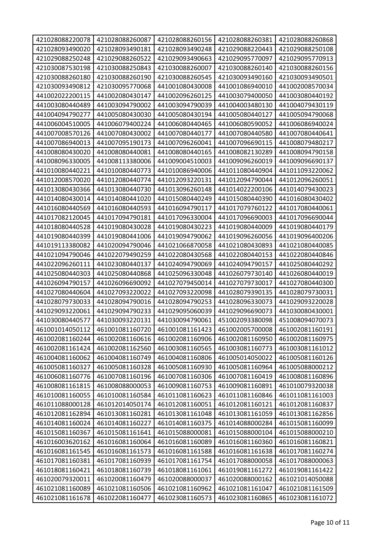| 421028088220078 | 421028088260087 | 421028088260156 | 421028088260381 | 421028088260868 |
|-----------------|-----------------|-----------------|-----------------|-----------------|
| 421028093490020 | 421028093490181 | 421028093490248 | 421029088220443 | 421029088250108 |
| 421029088250248 | 421029088260522 | 421029093490663 | 421029095770097 | 421029095770913 |
| 421030087530198 | 421030088250843 | 421030088260007 | 421030088260140 | 421030088260156 |
| 421030088260180 | 421030088260190 | 421030088260545 | 421030093490160 | 421030093490501 |
| 421030093490812 | 421030095770068 | 441001080430008 | 441001086940010 | 441002008570034 |
| 441002022200115 | 441002080430147 | 441002096260125 | 441003079400050 | 441003080440192 |
| 441003080440489 | 441003094790002 | 441003094790039 | 441004003480130 | 441004079430119 |
| 441004094790277 | 441005080430030 | 441005080430194 | 441005080440127 | 441005094790068 |
| 441006004510005 | 441006079400224 | 441006080440465 | 441006080590052 | 441006086940024 |
| 441007008570126 | 441007080430002 | 441007080440177 | 441007080440580 | 441007080440641 |
| 441007086940013 | 441007095190173 | 441007096260041 | 441007096690115 | 441008079480217 |
| 441008080430020 | 441008080440081 | 441008080440165 | 441008082130289 | 441008094790158 |
| 441008096330005 | 441008113380006 | 441009004510003 | 441009096260019 | 441009096690137 |
| 441010080440221 | 441010080440773 | 441010086940006 | 441011080440904 | 441011093220062 |
| 441012008570020 | 441012080440774 | 441012093220131 | 441012094790044 | 441012096260051 |
| 441013080430366 | 441013080440730 | 441013096260148 | 441014022200106 | 441014079430023 |
| 441014080430014 | 441014080441020 | 441015080440249 | 441015080440390 | 441016080430402 |
| 441016080440569 | 441016080440593 | 441016094790117 | 441017079760122 | 441017080440061 |
| 441017082120045 | 441017094790181 | 441017096330004 | 441017096690003 | 441017096690044 |
| 441018080440528 | 441019080430028 | 441019080430223 | 441019080440009 | 441019080440179 |
| 441019080440399 | 441019080441006 | 441019094790062 | 441019096260056 | 441019096400206 |
| 441019113380082 | 441020094790046 | 441021066870058 | 441021080430893 | 441021080440085 |
| 441021094790046 | 441022079490259 | 441022080430568 | 441022080440153 | 441022080440846 |
| 441022096260111 | 441023080440137 | 441024094790069 | 441024094790157 | 441025080440292 |
| 441025080440303 | 441025080440868 | 441025096330048 | 441026079730140 | 441026080440019 |
| 441026094790157 | 441026096690092 | 441027079450014 | 441027079730017 | 441027080440300 |
| 441027080440604 | 441027093220022 | 441027093220098 | 441028079390135 | 441028079730031 |
| 441028079730033 | 441028094790016 | 441028094790253 | 441028096330073 | 441029093220028 |
| 441029093220061 | 441029094790233 | 441029095060039 | 441029096690073 | 441030080430001 |
| 441030080440577 | 441030093220131 | 441030094790061 | 451002093380098 | 451008094070073 |
| 461001014050112 | 461001081160720 | 461001081161423 | 461002005700008 | 461002081160191 |
| 461002081160244 | 461002081160616 | 461002081160906 | 461002081160950 | 461002081160975 |
| 461002081161424 | 461002081162560 | 461003081160565 | 461003081160773 | 461003081161012 |
| 461004081160062 | 461004081160749 | 461004081160806 | 461005014050022 | 461005081160126 |
| 461005081160327 | 461005081160328 | 461005081160930 | 461005081160964 | 461005088000212 |
| 461006081160776 | 461007081160196 | 461007081160306 | 461007081160419 | 461008081160896 |
| 461008081161815 | 461008088000053 | 461009081160753 | 461009081160891 | 461010079320038 |
| 461010081160055 | 461010081160584 | 461011081160623 | 461011081160846 | 461011081161003 |
| 461011088000128 | 461012014050174 | 461012081160051 | 461012081160121 | 461012081160837 |
| 461012081162894 | 461013081160281 | 461013081161048 | 461013081161059 | 461013081162856 |
| 461014081160024 | 461014081160227 | 461014081160375 | 461014088000284 | 461015081160099 |
| 461015081160367 | 461015081161641 | 461015088000081 | 461015088000104 | 461015088000210 |
| 461016003620162 | 461016081160064 | 461016081160089 | 461016081160360 | 461016081160821 |
| 461016081161545 | 461016081161573 | 461016081161588 | 461016081161638 | 461017081160274 |
| 461017081160381 | 461017081160939 | 461017081161754 | 461017088000058 | 461017088000063 |
| 461018081160421 | 461018081160739 | 461018081161061 | 461019081161272 | 461019081161422 |
| 461020079320011 | 461020081160479 | 461020088000037 | 461020088000162 | 461021014050088 |
| 461021081160089 | 461021081160506 | 461021081160962 | 461021081161047 | 461021081161509 |
| 461021081161678 | 461022081160477 | 461023081160573 | 461023081160865 | 461023081161072 |
|                 |                 |                 |                 |                 |